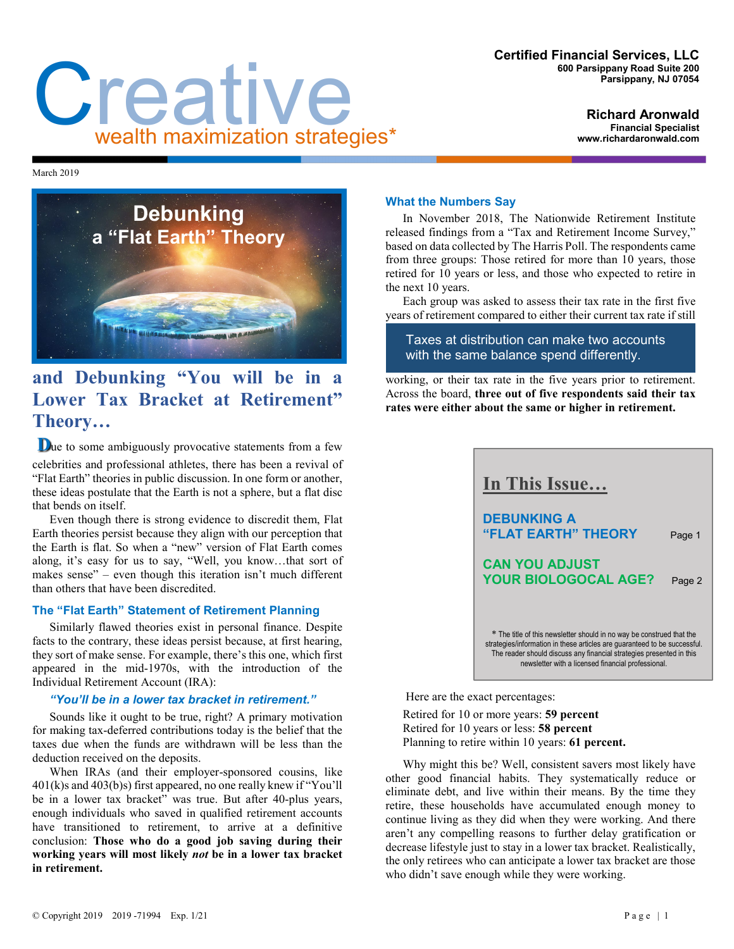#### **Certified Financial Services, LLC 600 Parsippany Road Suite 200 Parsippany, NJ 07054**

# Creative wealth maximization strategies\*

**Richard Aronwald Financial Specialist www.richardaronwald.com**

March 2019



# **and Debunking "You will be in a Lower Tax Bracket at Retirement" Theory…**

**Due** to some ambiguously provocative statements from a few celebrities and professional athletes, there has been a revival of "Flat Earth" theories in public discussion. In one form or another, these ideas postulate that the Earth is not a sphere, but a flat disc that bends on itself.

Even though there is strong evidence to discredit them, Flat Earth theories persist because they align with our perception that the Earth is flat. So when a "new" version of Flat Earth comes along, it's easy for us to say, "Well, you know…that sort of makes sense" – even though this iteration isn't much different than others that have been discredited.

# **The "Flat Earth" Statement of Retirement Planning**

Similarly flawed theories exist in personal finance. Despite facts to the contrary, these ideas persist because, at first hearing, they sort of make sense. For example, there's this one, which first appeared in the mid-1970s, with the introduction of the Individual Retirement Account (IRA):

### *"You'll be in a lower tax bracket in retirement."*

Sounds like it ought to be true, right? A primary motivation for making tax-deferred contributions today is the belief that the taxes due when the funds are withdrawn will be less than the deduction received on the deposits.

When IRAs (and their employer-sponsored cousins, like 401(k)s and 403(b)s) first appeared, no one really knew if "You'll be in a lower tax bracket" was true. But after 40-plus years, enough individuals who saved in qualified retirement accounts have transitioned to retirement, to arrive at a definitive conclusion: **Those who do a good job saving during their working years will most likely** *not* **be in a lower tax bracket in retirement.**

# **What the Numbers Say**

In November 2018, The Nationwide Retirement Institute released findings from a "Tax and Retirement Income Survey," based on data collected by The Harris Poll. The respondents came from three groups: Those retired for more than 10 years, those retired for 10 years or less, and those who expected to retire in the next 10 years.

Each group was asked to assess their tax rate in the first five years of retirement compared to either their current tax rate if still

Taxes at distribution can make two accounts with the same balance spend differently.

working, or their tax rate in the five years prior to retirement. Across the board, **three out of five respondents said their tax rates were either about the same or higher in retirement.**



Here are the exact percentages:

Retired for 10 or more years: **59 percent** Retired for 10 years or less: **58 percent** Planning to retire within 10 years: **61 percent.**

Why might this be? Well, consistent savers most likely have other good financial habits. They systematically reduce or eliminate debt, and live within their means. By the time they retire, these households have accumulated enough money to continue living as they did when they were working. And there aren't any compelling reasons to further delay gratification or decrease lifestyle just to stay in a lower tax bracket. Realistically, the only retirees who can anticipate a lower tax bracket are those who didn't save enough while they were working.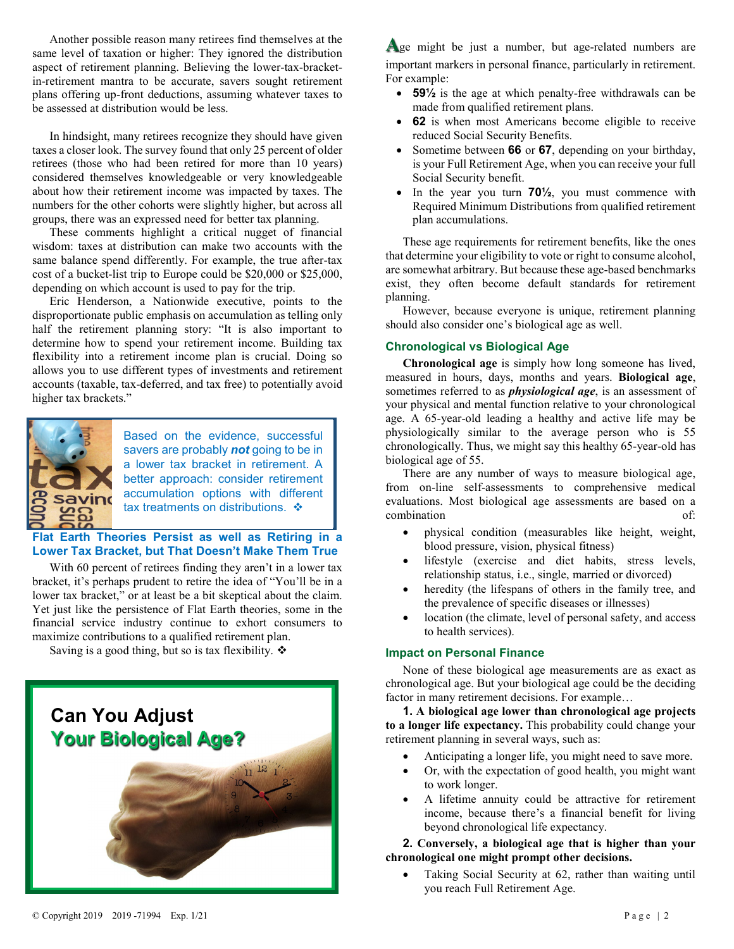Another possible reason many retirees find themselves at the same level of taxation or higher: They ignored the distribution aspect of retirement planning. Believing the lower-tax-bracketin-retirement mantra to be accurate, savers sought retirement plans offering up-front deductions, assuming whatever taxes to be assessed at distribution would be less.

In hindsight, many retirees recognize they should have given taxes a closer look. The survey found that only 25 percent of older retirees (those who had been retired for more than 10 years) considered themselves knowledgeable or very knowledgeable about how their retirement income was impacted by taxes. The numbers for the other cohorts were slightly higher, but across all groups, there was an expressed need for better tax planning.

These comments highlight a critical nugget of financial wisdom: taxes at distribution can make two accounts with the same balance spend differently. For example, the true after-tax cost of a bucket-list trip to Europe could be \$20,000 or \$25,000, depending on which account is used to pay for the trip.

Eric Henderson, a Nationwide executive, points to the disproportionate public emphasis on accumulation as telling only half the retirement planning story: "It is also important to determine how to spend your retirement income. Building tax flexibility into a retirement income plan is crucial. Doing so allows you to use different types of investments and retirement accounts (taxable, tax-deferred, and tax free) to potentially avoid higher tax brackets."



Based on the evidence, successful savers are probably *not* going to be in a lower tax bracket in retirement. A better approach: consider retirement accumulation options with different tax treatments on distributions.  $\cdot$ 

**Flat Earth Theories Persist as well as Retiring in a Lower Tax Bracket, but That Doesn't Make Them True**

With 60 percent of retirees finding they aren't in a lower tax bracket, it's perhaps prudent to retire the idea of "You'll be in a lower tax bracket," or at least be a bit skeptical about the claim. Yet just like the persistence of Flat Earth theories, some in the financial service industry continue to exhort consumers to maximize contributions to a qualified retirement plan.

Saving is a good thing, but so is tax flexibility.  $\mathbf{\hat{*}}$ 



Age might be just a number, but age-related numbers are important markers in personal finance, particularly in retirement. For example:

- **59½** is the age at which penalty-free withdrawals can be made from qualified retirement plans.
- **62** is when most Americans become eligible to receive reduced Social Security Benefits.
- Sometime between **66** or **67**, depending on your birthday, is your Full Retirement Age, when you can receive your full Social Security benefit.
- In the year you turn **70½**, you must commence with Required Minimum Distributions from qualified retirement plan accumulations.

These age requirements for retirement benefits, like the ones that determine your eligibility to vote or right to consume alcohol, are somewhat arbitrary. But because these age-based benchmarks exist, they often become default standards for retirement planning.

However, because everyone is unique, retirement planning should also consider one's biological age as well.

#### **Chronological vs Biological Age**

**Chronological age** is simply how long someone has lived, measured in hours, days, months and years. **Biological age**, sometimes referred to as *physiological age*, is an assessment of your physical and mental function relative to your chronological age. A 65-year-old leading a healthy and active life may be physiologically similar to the average person who is 55 chronologically. Thus, we might say this healthy 65-year-old has biological age of 55.

There are any number of ways to measure biological age, from on-line self-assessments to comprehensive medical evaluations. Most biological age assessments are based on a combination of:

- physical condition (measurables like height, weight, blood pressure, vision, physical fitness)
- lifestyle (exercise and diet habits, stress levels, relationship status, i.e., single, married or divorced)
- heredity (the lifespans of others in the family tree, and the prevalence of specific diseases or illnesses)
- location (the climate, level of personal safety, and access to health services).

#### **Impact on Personal Finance**

None of these biological age measurements are as exact as chronological age. But your biological age could be the deciding factor in many retirement decisions. For example…

**1. A biological age lower than chronological age projects to a longer life expectancy.** This probability could change your retirement planning in several ways, such as:

- Anticipating a longer life, you might need to save more.
- Or, with the expectation of good health, you might want to work longer.
- A lifetime annuity could be attractive for retirement income, because there's a financial benefit for living beyond chronological life expectancy.

# **2. Conversely, a biological age that is higher than your chronological one might prompt other decisions.**

Taking Social Security at 62, rather than waiting until you reach Full Retirement Age.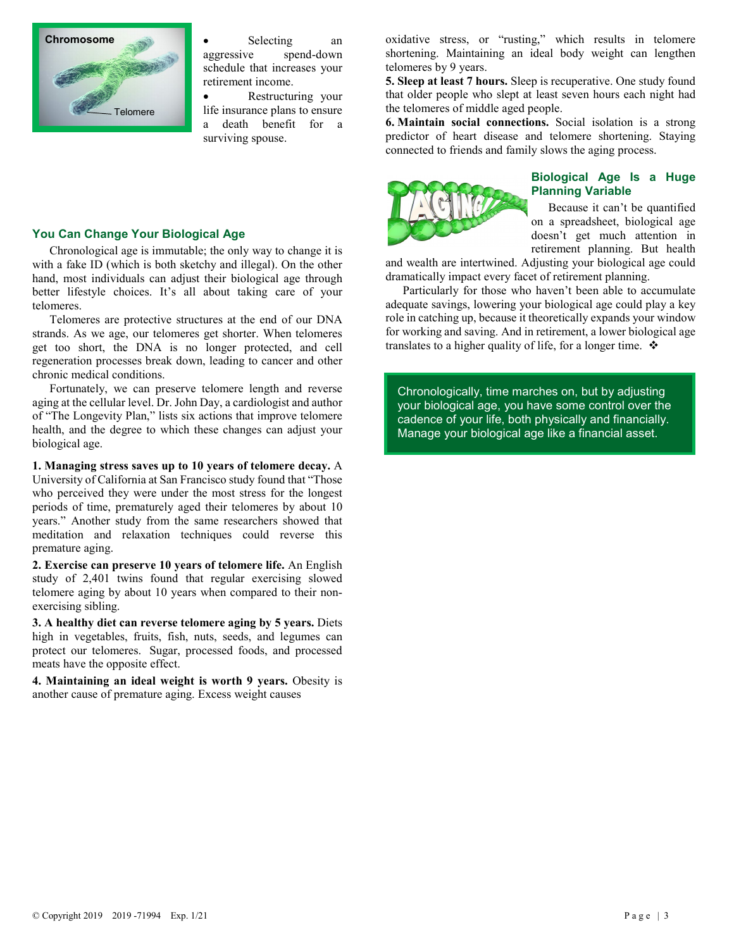

Selecting an aggressive spend-down schedule that increases your retirement income.

• Restructuring your life insurance plans to ensure a death benefit for a surviving spouse.

#### **You Can Change Your Biological Age**

Chronological age is immutable; the only way to change it is with a fake ID (which is both sketchy and illegal). On the other hand, most individuals can adjust their biological age through better lifestyle choices. It's all about taking care of your telomeres.

Telomeres are protective structures at the end of our DNA strands. As we age, our telomeres get shorter. When telomeres get too short, the DNA is no longer protected, and cell regeneration processes break down, leading to cancer and other chronic medical conditions.

Fortunately, we can preserve telomere length and reverse aging at the cellular level. Dr. John Day, a cardiologist and author of "The Longevity Plan," lists six actions that improve telomere health, and the degree to which these changes can adjust your biological age.

**1. Managing stress saves up to 10 years of telomere decay.** A University of California at San Francisco study found that "Those who perceived they were under the most stress for the longest periods of time, prematurely aged their telomeres by about 10 years." Another study from the same researchers showed that meditation and relaxation techniques could reverse this premature aging.

**2. Exercise can preserve 10 years of telomere life.** An English study of 2,401 twins found that regular exercising slowed telomere aging by about 10 years when compared to their nonexercising sibling.

**3. A healthy diet can reverse telomere aging by 5 years.** Diets high in vegetables, fruits, fish, nuts, seeds, and legumes can protect our telomeres. Sugar, processed foods, and processed meats have the opposite effect.

**4. Maintaining an ideal weight is worth 9 years.** Obesity is another cause of premature aging. Excess weight causes

oxidative stress, or "rusting," which results in telomere shortening. Maintaining an ideal body weight can lengthen telomeres by 9 years.

**5. Sleep at least 7 hours.** Sleep is recuperative. One study found that older people who slept at least seven hours each night had the telomeres of middle aged people.

**6. Maintain social connections.** Social isolation is a strong predictor of heart disease and telomere shortening. Staying connected to friends and family slows the aging process.



#### **Biological Age Is a Huge Planning Variable**

Because it can't be quantified on a spreadsheet, biological age doesn't get much attention in retirement planning. But health

and wealth are intertwined. Adjusting your biological age could dramatically impact every facet of retirement planning.

Particularly for those who haven't been able to accumulate adequate savings, lowering your biological age could play a key role in catching up, because it theoretically expands your window for working and saving. And in retirement, a lower biological age translates to a higher quality of life, for a longer time.  $\mathbf{\hat{P}}$ 

Chronologically, time marches on, but by adjusting your biological age, you have some control over the cadence of your life, both physically and financially. Manage your biological age like a financial asset.